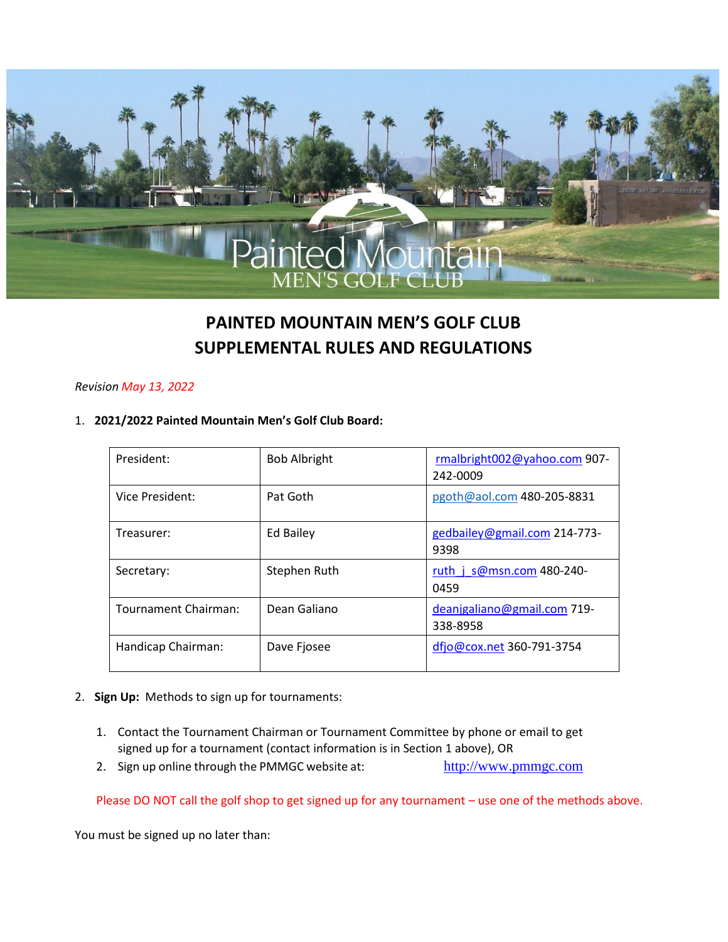

# **PAINTED MOUNTAIN MEN'S GOLF CLUB SUPPLEMENTAL RULES AND REGULATIONS**

#### *Revision May 13, 2022*

#### 1. **2021/2022 Painted Mountain Men's Golf Club Board:**

| President:           | <b>Bob Albright</b> | rmalbright002@yahoo.com 907-<br>242-0009 |
|----------------------|---------------------|------------------------------------------|
| Vice President:      | Pat Goth            | pgoth@aol.com 480-205-8831               |
| Treasurer:           | Ed Bailey           | gedbailey@gmail.com 214-773-<br>9398     |
| Secretary:           | Stephen Ruth        | ruth $i$ s@msn.com 480-240-<br>0459      |
| Tournament Chairman: | Dean Galiano        | deanjgaliano@gmail.com 719-<br>338-8958  |
| Handicap Chairman:   | Dave Fjosee         | dfjo@cox.net 360-791-3754                |

- 2. **Sign Up:** Methods to sign up for tournaments:
	- 1. Contact the Tournament Chairman or Tournament Committee by phone or email to get signed up for a tournament (contact information is in Section 1 above), OR
	- 2. Sign up online through the PMMGC website at: http://www.pmmgc.com

Please DO NOT call the golf shop to get signed up for any tournament – use one of the methods above.

You must be signed up no later than: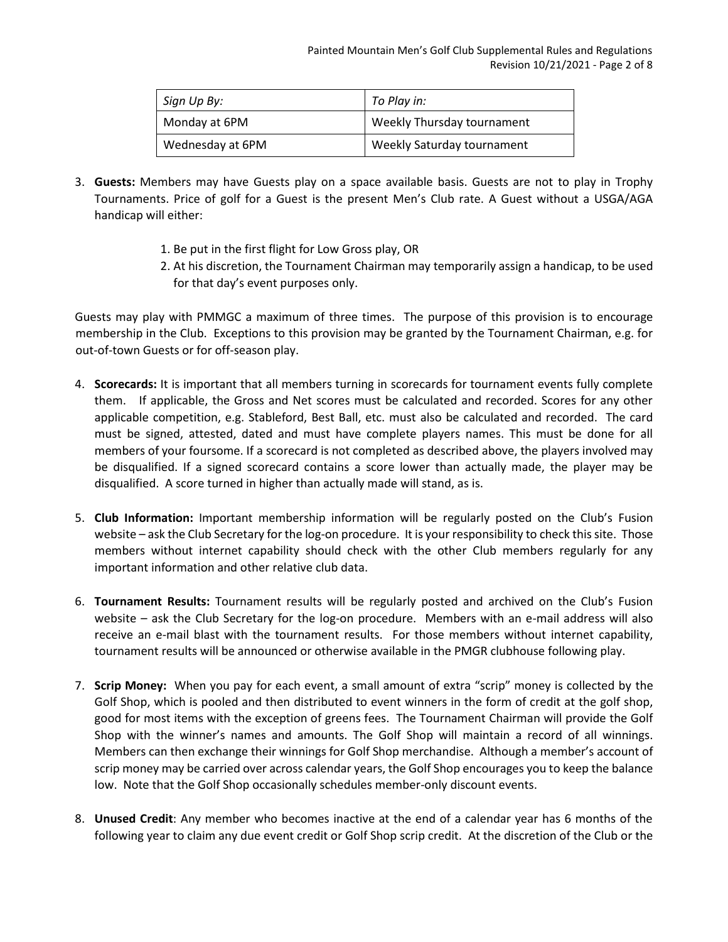| Sign Up By:      | To Play in:                |
|------------------|----------------------------|
| Monday at 6PM    | Weekly Thursday tournament |
| Wednesday at 6PM | Weekly Saturday tournament |

- 3. **Guests:** Members may have Guests play on a space available basis. Guests are not to play in Trophy Tournaments. Price of golf for a Guest is the present Men's Club rate. A Guest without a USGA/AGA handicap will either:
	- 1. Be put in the first flight for Low Gross play, OR
	- 2. At his discretion, the Tournament Chairman may temporarily assign a handicap, to be used for that day's event purposes only.

Guests may play with PMMGC a maximum of three times. The purpose of this provision is to encourage membership in the Club. Exceptions to this provision may be granted by the Tournament Chairman, e.g. for out-of-town Guests or for off-season play.

- 4. **Scorecards:** It is important that all members turning in scorecards for tournament events fully complete them. If applicable, the Gross and Net scores must be calculated and recorded. Scores for any other applicable competition, e.g. Stableford, Best Ball, etc. must also be calculated and recorded. The card must be signed, attested, dated and must have complete players names. This must be done for all members of your foursome. If a scorecard is not completed as described above, the players involved may be disqualified. If a signed scorecard contains a score lower than actually made, the player may be disqualified. A score turned in higher than actually made will stand, as is.
- 5. **Club Information:** Important membership information will be regularly posted on the Club's Fusion website – ask the Club Secretary for the log-on procedure. It is your responsibility to check this site. Those members without internet capability should check with the other Club members regularly for any important information and other relative club data.
- 6. **Tournament Results:** Tournament results will be regularly posted and archived on the Club's Fusion website – ask the Club Secretary for the log-on procedure. Members with an e-mail address will also receive an e-mail blast with the tournament results. For those members without internet capability, tournament results will be announced or otherwise available in the PMGR clubhouse following play.
- 7. **Scrip Money:** When you pay for each event, a small amount of extra "scrip" money is collected by the Golf Shop, which is pooled and then distributed to event winners in the form of credit at the golf shop, good for most items with the exception of greens fees. The Tournament Chairman will provide the Golf Shop with the winner's names and amounts. The Golf Shop will maintain a record of all winnings. Members can then exchange their winnings for Golf Shop merchandise. Although a member's account of scrip money may be carried over across calendar years, the Golf Shop encourages you to keep the balance low. Note that the Golf Shop occasionally schedules member-only discount events.
- 8. **Unused Credit**: Any member who becomes inactive at the end of a calendar year has 6 months of the following year to claim any due event credit or Golf Shop scrip credit. At the discretion of the Club or the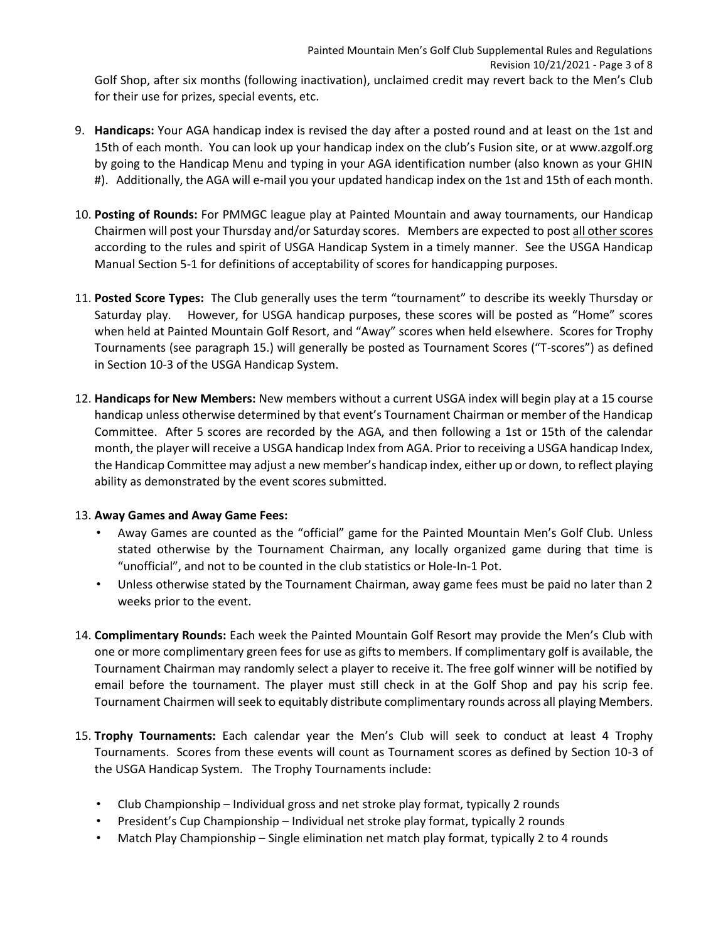9. **Handicaps:** Your AGA handicap index is revised the day after a posted round and at least on the 1st and 15th of each month. You can look up your handicap index on the club's Fusion site, or at www.azgolf.org by going to the Handicap Menu and typing in your AGA identification number (also known as your GHIN #). Additionally, the AGA will e-mail you your updated handicap index on the 1st and 15th of each month.

- 10. **Posting of Rounds:** For PMMGC league play at Painted Mountain and away tournaments, our Handicap Chairmen will post your Thursday and/or Saturday scores. Members are expected to post all other scores according to the rules and spirit of USGA Handicap System in a timely manner. See the USGA Handicap Manual Section 5-1 for definitions of acceptability of scores for handicapping purposes.
- 11. **Posted Score Types:** The Club generally uses the term "tournament" to describe its weekly Thursday or Saturday play. However, for USGA handicap purposes, these scores will be posted as "Home" scores when held at Painted Mountain Golf Resort, and "Away" scores when held elsewhere. Scores for Trophy Tournaments (see paragraph 15.) will generally be posted as Tournament Scores ("T-scores") as defined in Section 10-3 of the USGA Handicap System.
- 12. **Handicaps for New Members:** New members without a current USGA index will begin play at a 15 course handicap unless otherwise determined by that event's Tournament Chairman or member of the Handicap Committee. After 5 scores are recorded by the AGA, and then following a 1st or 15th of the calendar month, the player will receive a USGA handicap Index from AGA. Prior to receiving a USGA handicap Index, the Handicap Committee may adjust a new member's handicap index, either up or down, to reflect playing ability as demonstrated by the event scores submitted.

## 13. **Away Games and Away Game Fees:**

- Away Games are counted as the "official" game for the Painted Mountain Men's Golf Club. Unless stated otherwise by the Tournament Chairman, any locally organized game during that time is "unofficial", and not to be counted in the club statistics or Hole-In-1 Pot.
- Unless otherwise stated by the Tournament Chairman, away game fees must be paid no later than 2 weeks prior to the event.
- 14. **Complimentary Rounds:** Each week the Painted Mountain Golf Resort may provide the Men's Club with one or more complimentary green fees for use as gifts to members. If complimentary golf is available, the Tournament Chairman may randomly select a player to receive it. The free golf winner will be notified by email before the tournament. The player must still check in at the Golf Shop and pay his scrip fee. Tournament Chairmen will seek to equitably distribute complimentary rounds across all playing Members.
- 15. **Trophy Tournaments:** Each calendar year the Men's Club will seek to conduct at least 4 Trophy Tournaments. Scores from these events will count as Tournament scores as defined by Section 10-3 of the USGA Handicap System. The Trophy Tournaments include:
	- Club Championship Individual gross and net stroke play format, typically 2 rounds
	- President's Cup Championship Individual net stroke play format, typically 2 rounds
	- Match Play Championship Single elimination net match play format, typically 2 to 4 rounds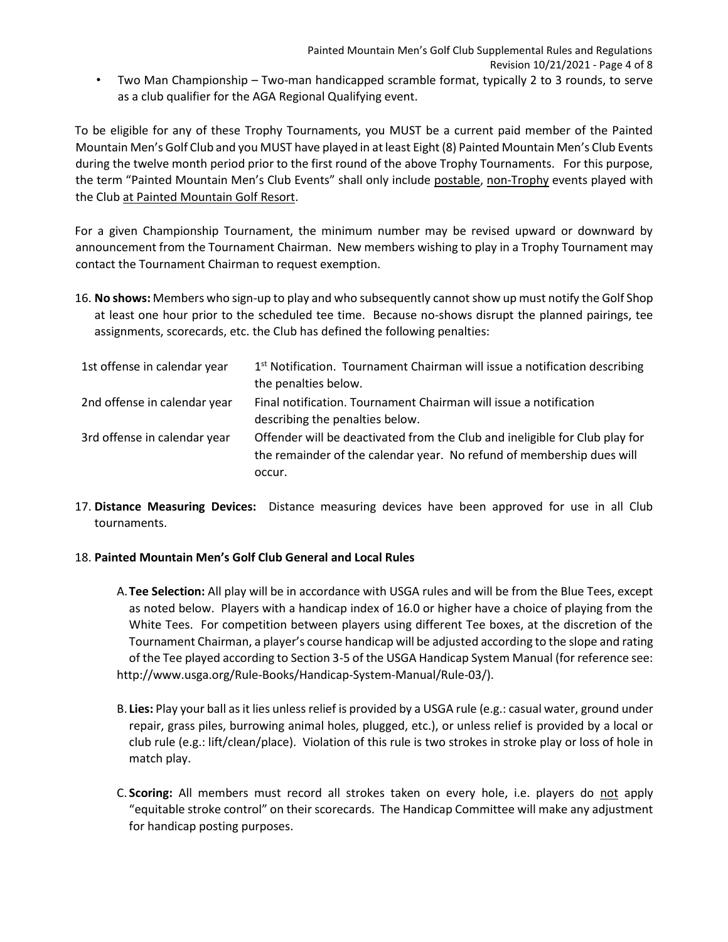• Two Man Championship – Two-man handicapped scramble format, typically 2 to 3 rounds, to serve as a club qualifier for the AGA Regional Qualifying event.

To be eligible for any of these Trophy Tournaments, you MUST be a current paid member of the Painted Mountain Men's Golf Club and you MUST have played in at least Eight (8) Painted Mountain Men's Club Events during the twelve month period prior to the first round of the above Trophy Tournaments. For this purpose, the term "Painted Mountain Men's Club Events" shall only include postable, non-Trophy events played with the Club at Painted Mountain Golf Resort.

For a given Championship Tournament, the minimum number may be revised upward or downward by announcement from the Tournament Chairman. New members wishing to play in a Trophy Tournament may contact the Tournament Chairman to request exemption.

16. **No shows:** Members who sign-up to play and who subsequently cannot show up must notify the Golf Shop at least one hour prior to the scheduled tee time. Because no-shows disrupt the planned pairings, tee assignments, scorecards, etc. the Club has defined the following penalties:

| 1st offense in calendar year | 1 <sup>st</sup> Notification. Tournament Chairman will issue a notification describing |
|------------------------------|----------------------------------------------------------------------------------------|
|                              | the penalties below.                                                                   |
| 2nd offense in calendar year | Final notification. Tournament Chairman will issue a notification                      |
|                              | describing the penalties below.                                                        |
| 3rd offense in calendar year | Offender will be deactivated from the Club and ineligible for Club play for            |
|                              | the remainder of the calendar year. No refund of membership dues will                  |
|                              | occur.                                                                                 |

17. **Distance Measuring Devices:** Distance measuring devices have been approved for use in all Club tournaments.

## 18. **Painted Mountain Men's Golf Club General and Local Rules**

- A.**Tee Selection:** All play will be in accordance with USGA rules and will be from the Blue Tees, except as noted below. Players with a handicap index of 16.0 or higher have a choice of playing from the White Tees. For competition between players using different Tee boxes, at the discretion of the Tournament Chairman, a player's course handicap will be adjusted according to the slope and rating of the Tee played according to Section 3-5 of the USGA Handicap System Manual (for reference see: http://www.usga.org/Rule-Books/Handicap-System-Manual/Rule-03/).
- B. **Lies:** Play your ball as it lies unless relief is provided by a USGA rule (e.g.: casual water, ground under repair, grass piles, burrowing animal holes, plugged, etc.), or unless relief is provided by a local or club rule (e.g.: lift/clean/place). Violation of this rule is two strokes in stroke play or loss of hole in match play.
- C. **Scoring:** All members must record all strokes taken on every hole, i.e. players do not apply "equitable stroke control" on their scorecards. The Handicap Committee will make any adjustment for handicap posting purposes.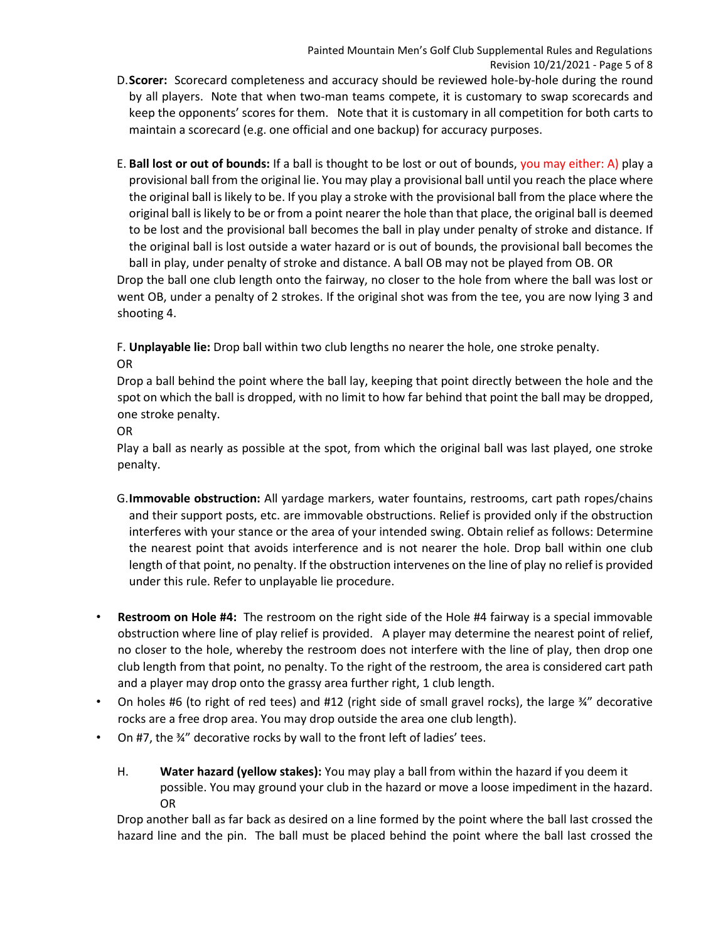- D.**Scorer:** Scorecard completeness and accuracy should be reviewed hole-by-hole during the round by all players. Note that when two-man teams compete, it is customary to swap scorecards and keep the opponents' scores for them. Note that it is customary in all competition for both carts to maintain a scorecard (e.g. one official and one backup) for accuracy purposes.
- E. **Ball lost or out of bounds:** If a ball is thought to be lost or out of bounds, you may either: A) play a provisional ball from the original lie. You may play a provisional ball until you reach the place where the original ball is likely to be. If you play a stroke with the provisional ball from the place where the original ball is likely to be or from a point nearer the hole than that place, the original ball is deemed to be lost and the provisional ball becomes the ball in play under penalty of stroke and distance. If the original ball is lost outside a water hazard or is out of bounds, the provisional ball becomes the ball in play, under penalty of stroke and distance. A ball OB may not be played from OB. OR Drop the ball one club length onto the fairway, no closer to the hole from where the ball was lost or went OB, under a penalty of 2 strokes. If the original shot was from the tee, you are now lying 3 and

shooting 4.

F. **Unplayable lie:** Drop ball within two club lengths no nearer the hole, one stroke penalty.

OR

Drop a ball behind the point where the ball lay, keeping that point directly between the hole and the spot on which the ball is dropped, with no limit to how far behind that point the ball may be dropped, one stroke penalty.

OR

Play a ball as nearly as possible at the spot, from which the original ball was last played, one stroke penalty.

- G.**Immovable obstruction:** All yardage markers, water fountains, restrooms, cart path ropes/chains and their support posts, etc. are immovable obstructions. Relief is provided only if the obstruction interferes with your stance or the area of your intended swing. Obtain relief as follows: Determine the nearest point that avoids interference and is not nearer the hole. Drop ball within one club length of that point, no penalty. If the obstruction intervenes on the line of play no relief is provided under this rule. Refer to unplayable lie procedure.
- **Restroom on Hole #4:** The restroom on the right side of the Hole #4 fairway is a special immovable obstruction where line of play relief is provided. A player may determine the nearest point of relief, no closer to the hole, whereby the restroom does not interfere with the line of play, then drop one club length from that point, no penalty. To the right of the restroom, the area is considered cart path and a player may drop onto the grassy area further right, 1 club length.
- On holes #6 (to right of red tees) and #12 (right side of small gravel rocks), the large  $\frac{3}{4}$ " decorative rocks are a free drop area. You may drop outside the area one club length).
- On #7, the ¾" decorative rocks by wall to the front left of ladies' tees.
	- H. **Water hazard (yellow stakes):** You may play a ball from within the hazard if you deem it possible. You may ground your club in the hazard or move a loose impediment in the hazard. OR

Drop another ball as far back as desired on a line formed by the point where the ball last crossed the hazard line and the pin. The ball must be placed behind the point where the ball last crossed the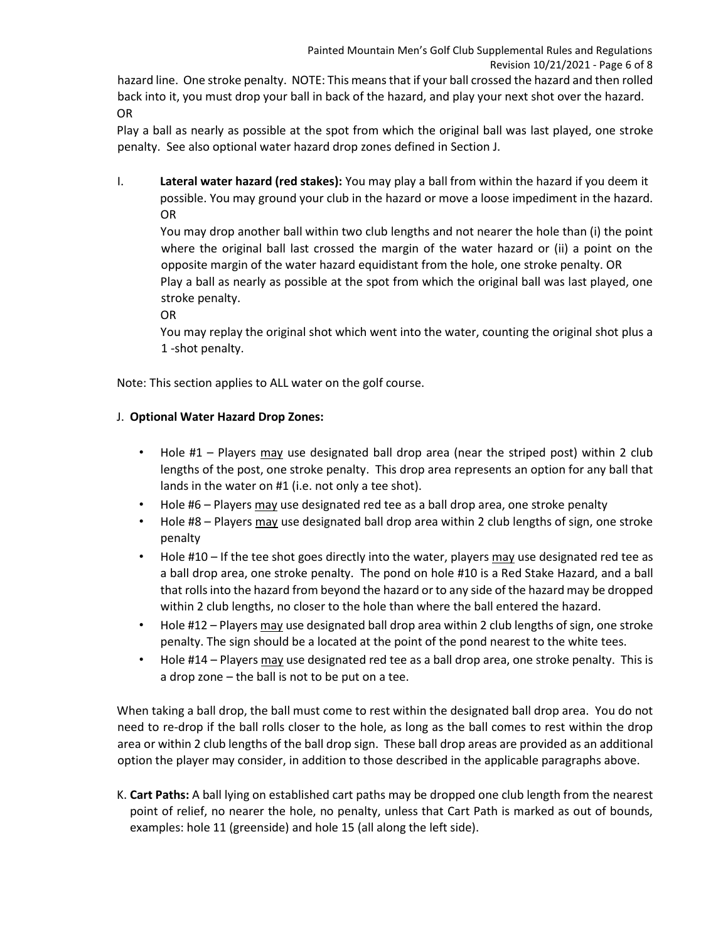hazard line. One stroke penalty. NOTE: This means that if your ball crossed the hazard and then rolled back into it, you must drop your ball in back of the hazard, and play your next shot over the hazard. OR

Play a ball as nearly as possible at the spot from which the original ball was last played, one stroke penalty. See also optional water hazard drop zones defined in Section J.

I. **Lateral water hazard (red stakes):** You may play a ball from within the hazard if you deem it possible. You may ground your club in the hazard or move a loose impediment in the hazard. OR

You may drop another ball within two club lengths and not nearer the hole than (i) the point where the original ball last crossed the margin of the water hazard or (ii) a point on the opposite margin of the water hazard equidistant from the hole, one stroke penalty. OR

Play a ball as nearly as possible at the spot from which the original ball was last played, one stroke penalty.

OR

You may replay the original shot which went into the water, counting the original shot plus a 1 -shot penalty.

Note: This section applies to ALL water on the golf course.

### J. **Optional Water Hazard Drop Zones:**

- Hole #1 Players may use designated ball drop area (near the striped post) within 2 club lengths of the post, one stroke penalty. This drop area represents an option for any ball that lands in the water on #1 (i.e. not only a tee shot).
- Hole #6 Players may use designated red tee as a ball drop area, one stroke penalty
- Hole #8 Players may use designated ball drop area within 2 club lengths of sign, one stroke penalty
- Hole #10 If the tee shot goes directly into the water, players may use designated red tee as a ball drop area, one stroke penalty. The pond on hole #10 is a Red Stake Hazard, and a ball that rolls into the hazard from beyond the hazard or to any side of the hazard may be dropped within 2 club lengths, no closer to the hole than where the ball entered the hazard.
- Hole #12 Players may use designated ball drop area within 2 club lengths of sign, one stroke penalty. The sign should be a located at the point of the pond nearest to the white tees.
- Hole #14 Players may use designated red tee as a ball drop area, one stroke penalty. This is a drop zone – the ball is not to be put on a tee.

When taking a ball drop, the ball must come to rest within the designated ball drop area. You do not need to re-drop if the ball rolls closer to the hole, as long as the ball comes to rest within the drop area or within 2 club lengths of the ball drop sign. These ball drop areas are provided as an additional option the player may consider, in addition to those described in the applicable paragraphs above.

K. **Cart Paths:** A ball lying on established cart paths may be dropped one club length from the nearest point of relief, no nearer the hole, no penalty, unless that Cart Path is marked as out of bounds, examples: hole 11 (greenside) and hole 15 (all along the left side).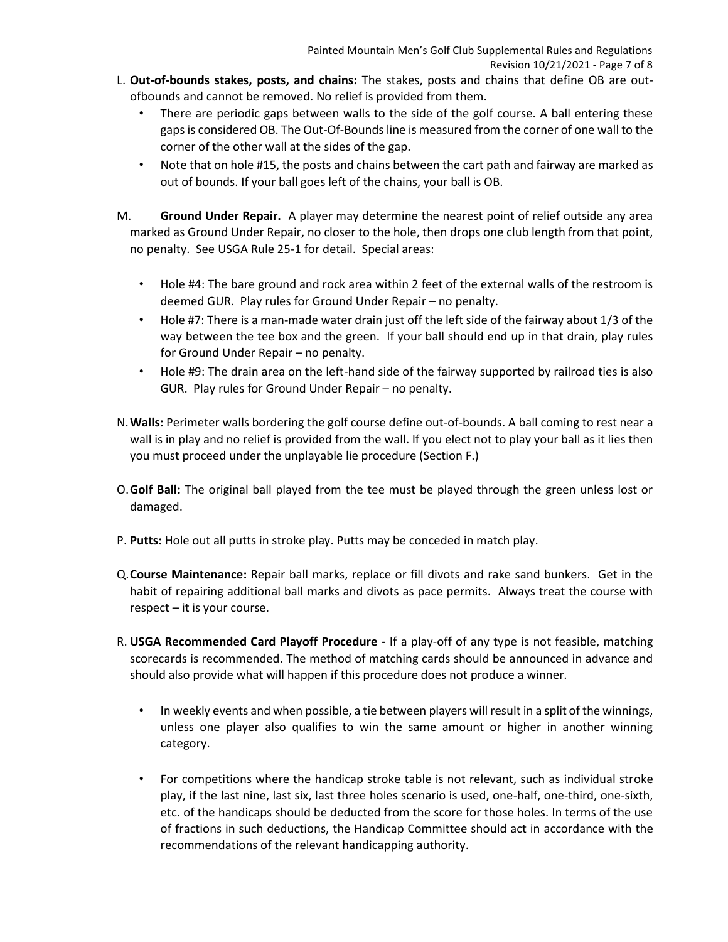- L. **Out-of-bounds stakes, posts, and chains:** The stakes, posts and chains that define OB are outofbounds and cannot be removed. No relief is provided from them.
	- There are periodic gaps between walls to the side of the golf course. A ball entering these gaps is considered OB. The Out-Of-Bounds line is measured from the corner of one wall to the corner of the other wall at the sides of the gap.
	- Note that on hole #15, the posts and chains between the cart path and fairway are marked as out of bounds. If your ball goes left of the chains, your ball is OB.
- M. **Ground Under Repair.** A player may determine the nearest point of relief outside any area marked as Ground Under Repair, no closer to the hole, then drops one club length from that point, no penalty. See USGA Rule 25-1 for detail. Special areas:
	- Hole #4: The bare ground and rock area within 2 feet of the external walls of the restroom is deemed GUR. Play rules for Ground Under Repair – no penalty.
	- Hole #7: There is a man-made water drain just off the left side of the fairway about 1/3 of the way between the tee box and the green. If your ball should end up in that drain, play rules for Ground Under Repair – no penalty.
	- Hole #9: The drain area on the left-hand side of the fairway supported by railroad ties is also GUR. Play rules for Ground Under Repair – no penalty.
- N.**Walls:** Perimeter walls bordering the golf course define out-of-bounds. A ball coming to rest near a wall is in play and no relief is provided from the wall. If you elect not to play your ball as it lies then you must proceed under the unplayable lie procedure (Section F.)
- O.**Golf Ball:** The original ball played from the tee must be played through the green unless lost or damaged.
- P. **Putts:** Hole out all putts in stroke play. Putts may be conceded in match play.
- Q.**Course Maintenance:** Repair ball marks, replace or fill divots and rake sand bunkers. Get in the habit of repairing additional ball marks and divots as pace permits. Always treat the course with  $respect - it is your course.$
- R. **USGA Recommended Card Playoff Procedure -** If a play-off of any type is not feasible, matching scorecards is recommended. The method of matching cards should be announced in advance and should also provide what will happen if this procedure does not produce a winner.
	- In weekly events and when possible, a tie between players will result in a split of the winnings, unless one player also qualifies to win the same amount or higher in another winning category.
	- For competitions where the handicap stroke table is not relevant, such as individual stroke play, if the last nine, last six, last three holes scenario is used, one-half, one-third, one-sixth, etc. of the handicaps should be deducted from the score for those holes. In terms of the use of fractions in such deductions, the Handicap Committee should act in accordance with the recommendations of the relevant handicapping authority.